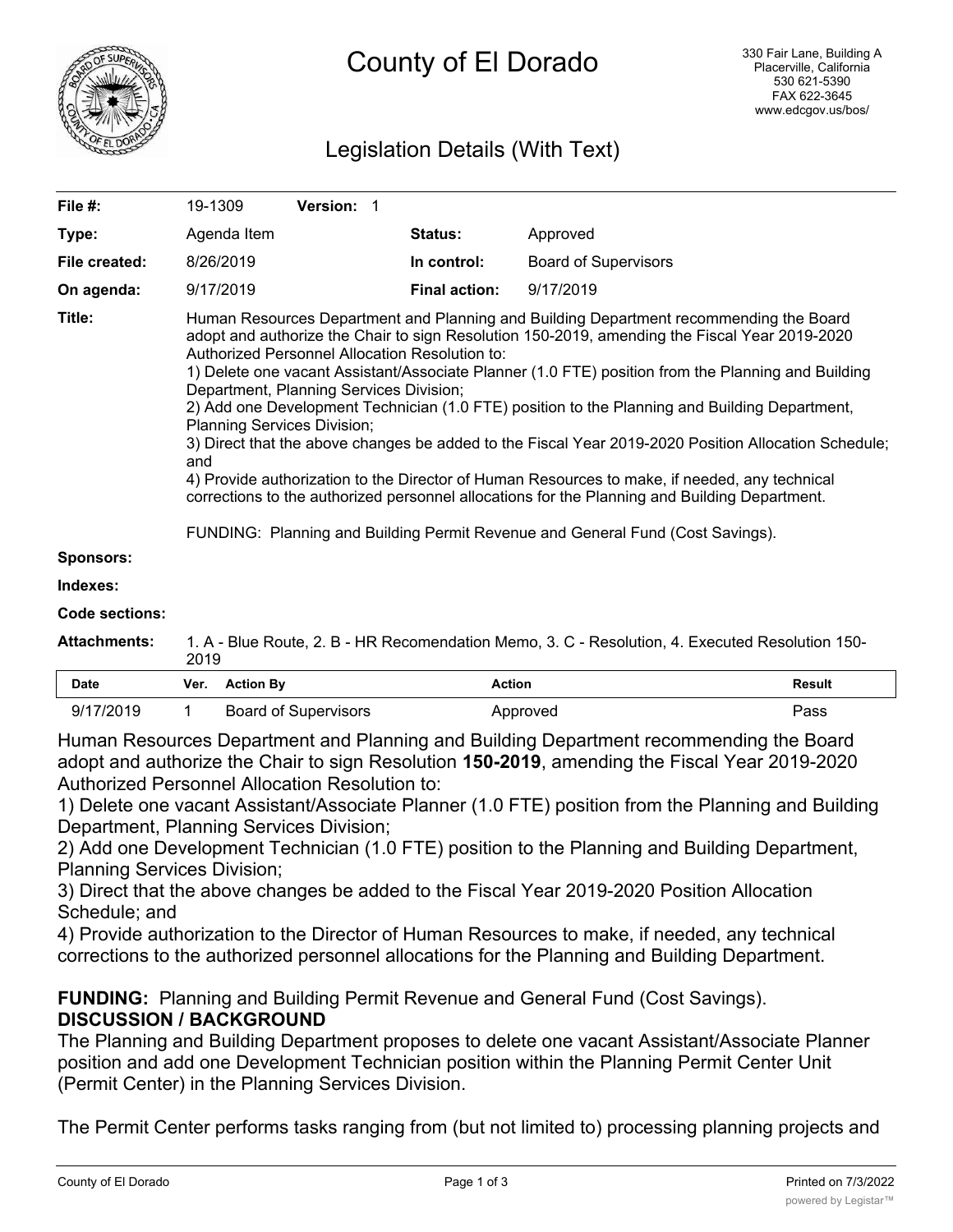

# Legislation Details (With Text)

| File $#$ :       | 19-1309                                                                                                                                                                                                                                                                                                                                                                                                                                                                                                                                                                                                                                                                                                                                                                                                                                                                                                                              | <b>Version: 1</b> |                      |                             |  |  |
|------------------|--------------------------------------------------------------------------------------------------------------------------------------------------------------------------------------------------------------------------------------------------------------------------------------------------------------------------------------------------------------------------------------------------------------------------------------------------------------------------------------------------------------------------------------------------------------------------------------------------------------------------------------------------------------------------------------------------------------------------------------------------------------------------------------------------------------------------------------------------------------------------------------------------------------------------------------|-------------------|----------------------|-----------------------------|--|--|
| Type:            | Agenda Item                                                                                                                                                                                                                                                                                                                                                                                                                                                                                                                                                                                                                                                                                                                                                                                                                                                                                                                          |                   | <b>Status:</b>       | Approved                    |  |  |
| File created:    | 8/26/2019                                                                                                                                                                                                                                                                                                                                                                                                                                                                                                                                                                                                                                                                                                                                                                                                                                                                                                                            |                   | In control:          | <b>Board of Supervisors</b> |  |  |
| On agenda:       | 9/17/2019                                                                                                                                                                                                                                                                                                                                                                                                                                                                                                                                                                                                                                                                                                                                                                                                                                                                                                                            |                   | <b>Final action:</b> | 9/17/2019                   |  |  |
| Title:           | Human Resources Department and Planning and Building Department recommending the Board<br>adopt and authorize the Chair to sign Resolution 150-2019, amending the Fiscal Year 2019-2020<br>Authorized Personnel Allocation Resolution to:<br>1) Delete one vacant Assistant/Associate Planner (1.0 FTE) position from the Planning and Building<br>Department, Planning Services Division;<br>2) Add one Development Technician (1.0 FTE) position to the Planning and Building Department,<br><b>Planning Services Division;</b><br>3) Direct that the above changes be added to the Fiscal Year 2019-2020 Position Allocation Schedule;<br>and<br>4) Provide authorization to the Director of Human Resources to make, if needed, any technical<br>corrections to the authorized personnel allocations for the Planning and Building Department.<br>FUNDING: Planning and Building Permit Revenue and General Fund (Cost Savings). |                   |                      |                             |  |  |
| <b>Sponsors:</b> |                                                                                                                                                                                                                                                                                                                                                                                                                                                                                                                                                                                                                                                                                                                                                                                                                                                                                                                                      |                   |                      |                             |  |  |
| Indexes:         |                                                                                                                                                                                                                                                                                                                                                                                                                                                                                                                                                                                                                                                                                                                                                                                                                                                                                                                                      |                   |                      |                             |  |  |

#### **Code sections:**

| Attachments: | 1. A - Blue Route, 2. B - HR Recomendation Memo, 3. C - Resolution, 4. Executed Resolution 150-<br>2019 |
|--------------|---------------------------------------------------------------------------------------------------------|
|              |                                                                                                         |

| Date      | Ver. | <b>Action Bv</b>            | Action   | Result |
|-----------|------|-----------------------------|----------|--------|
| 9/17/2019 |      | <b>Board of Supervisors</b> | Approved | Pass   |

Human Resources Department and Planning and Building Department recommending the Board adopt and authorize the Chair to sign Resolution **150-2019**, amending the Fiscal Year 2019-2020 Authorized Personnel Allocation Resolution to:

1) Delete one vacant Assistant/Associate Planner (1.0 FTE) position from the Planning and Building Department, Planning Services Division;

2) Add one Development Technician (1.0 FTE) position to the Planning and Building Department, Planning Services Division;

3) Direct that the above changes be added to the Fiscal Year 2019-2020 Position Allocation Schedule; and

4) Provide authorization to the Director of Human Resources to make, if needed, any technical corrections to the authorized personnel allocations for the Planning and Building Department.

**FUNDING:** Planning and Building Permit Revenue and General Fund (Cost Savings). **DISCUSSION / BACKGROUND**

The Planning and Building Department proposes to delete one vacant Assistant/Associate Planner position and add one Development Technician position within the Planning Permit Center Unit (Permit Center) in the Planning Services Division.

The Permit Center performs tasks ranging from (but not limited to) processing planning projects and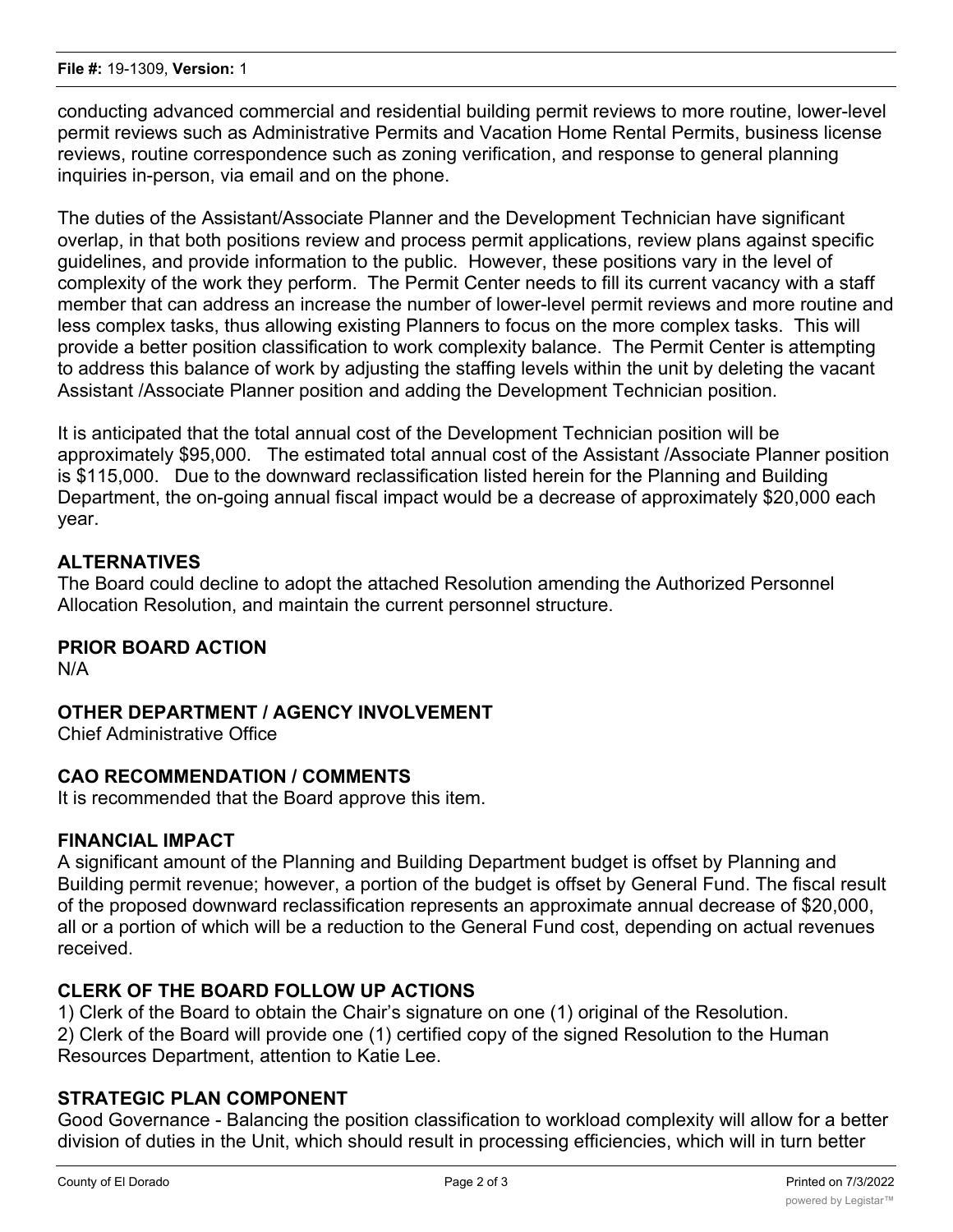conducting advanced commercial and residential building permit reviews to more routine, lower-level permit reviews such as Administrative Permits and Vacation Home Rental Permits, business license reviews, routine correspondence such as zoning verification, and response to general planning inquiries in-person, via email and on the phone.

The duties of the Assistant/Associate Planner and the Development Technician have significant overlap, in that both positions review and process permit applications, review plans against specific guidelines, and provide information to the public. However, these positions vary in the level of complexity of the work they perform. The Permit Center needs to fill its current vacancy with a staff member that can address an increase the number of lower-level permit reviews and more routine and less complex tasks, thus allowing existing Planners to focus on the more complex tasks. This will provide a better position classification to work complexity balance. The Permit Center is attempting to address this balance of work by adjusting the staffing levels within the unit by deleting the vacant Assistant /Associate Planner position and adding the Development Technician position.

It is anticipated that the total annual cost of the Development Technician position will be approximately \$95,000. The estimated total annual cost of the Assistant /Associate Planner position is \$115,000. Due to the downward reclassification listed herein for the Planning and Building Department, the on-going annual fiscal impact would be a decrease of approximately \$20,000 each year.

# **ALTERNATIVES**

The Board could decline to adopt the attached Resolution amending the Authorized Personnel Allocation Resolution, and maintain the current personnel structure.

## **PRIOR BOARD ACTION**

N/A

## **OTHER DEPARTMENT / AGENCY INVOLVEMENT**

Chief Administrative Office

## **CAO RECOMMENDATION / COMMENTS**

It is recommended that the Board approve this item.

## **FINANCIAL IMPACT**

A significant amount of the Planning and Building Department budget is offset by Planning and Building permit revenue; however, a portion of the budget is offset by General Fund. The fiscal result of the proposed downward reclassification represents an approximate annual decrease of \$20,000, all or a portion of which will be a reduction to the General Fund cost, depending on actual revenues received.

## **CLERK OF THE BOARD FOLLOW UP ACTIONS**

1) Clerk of the Board to obtain the Chair's signature on one (1) original of the Resolution. 2) Clerk of the Board will provide one (1) certified copy of the signed Resolution to the Human Resources Department, attention to Katie Lee.

#### **STRATEGIC PLAN COMPONENT**

Good Governance - Balancing the position classification to workload complexity will allow for a better division of duties in the Unit, which should result in processing efficiencies, which will in turn better